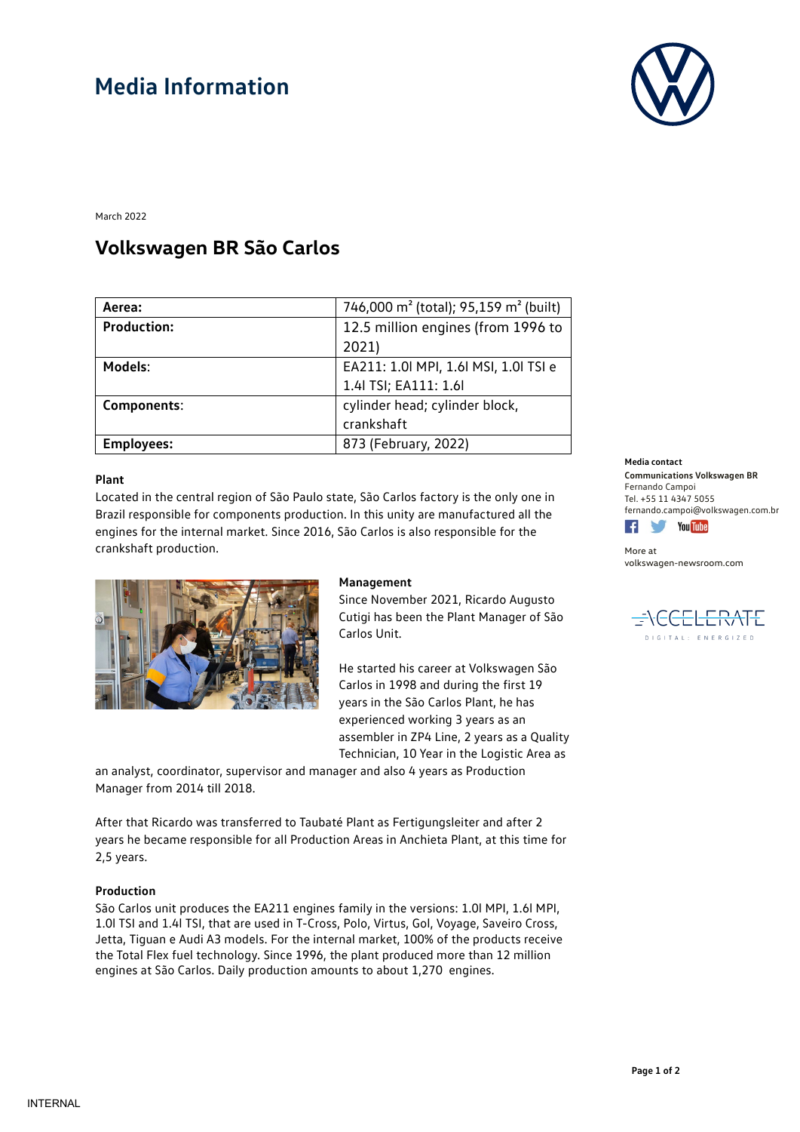# **Media Information**



March 2022

# **Volkswagen BR São Carlos**

| Aerea:             | 746,000 m <sup>2</sup> (total); 95,159 m <sup>2</sup> (built) |
|--------------------|---------------------------------------------------------------|
| <b>Production:</b> | 12.5 million engines (from 1996 to                            |
|                    | 2021)                                                         |
| Models:            | EA211: 1.0  MPI, 1.6  MSI, 1.0  TSI e                         |
|                    | 1.4  TSI; EA111: 1.6                                          |
| Components:        | cylinder head; cylinder block,                                |
|                    | crankshaft                                                    |
| <b>Employees:</b>  | 873 (February, 2022)                                          |

### **Plant**

Located in the central region of São Paulo state, São Carlos factory is the only one in Brazil responsible for components production. In this unity are manufactured all the engines for the internal market. Since 2016, São Carlos is also responsible for the crankshaft production.



### **Management**

Since November 2021, Ricardo Augusto Cutigi has been the Plant Manager of São Carlos Unit.

He started his career at Volkswagen São Carlos in 1998 and during the first 19 years in the São Carlos Plant, he has experienced working 3 years as an assembler in ZP4 Line, 2 years as a Quality Technician, 10 Year in the Logistic Area as

an analyst, coordinator, supervisor and manager and also 4 years as Production Manager from 2014 till 2018.

After that Ricardo was transferred to Taubaté Plant as Fertigungsleiter and after 2 years he became responsible for all Production Areas in Anchieta Plant, at this time for 2,5 years.

## **Production**

São Carlos unit produces the EA211 engines family in the versions: 1.0l MPI, 1.6l MPI, 1.0l TSI and 1.4l TSI, that are used in T-Cross, Polo, Virtus, Gol, Voyage, Saveiro Cross, Jetta, Tiguan e Audi A3 models. For the internal market, 100% of the products receive the Total Flex fuel technology. Since 1996, the plant produced more than 12 million engines at São Carlos. Daily production amounts to about 1,270 engines.

#### **Media contact**

**Communications Volkswagen BR** Fernando Campoi Tel. +55 11 4347 5055 fernando.campoi@volkswagen.com.br



More at [volkswagen-newsroom.com](https://www.volkswagen-media-services.com/)